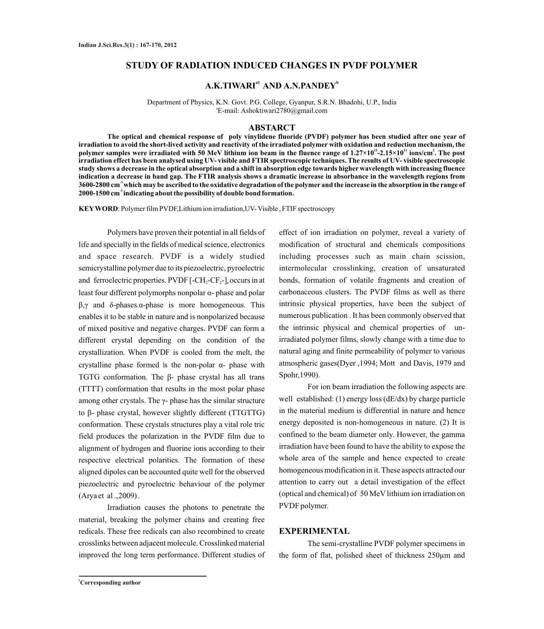## **STUDY OF RADIATION INDUCED CHANGES IN PVDF POLYMER**

# $A,K.TIWARI<sup>al</sup> AND A.N.PANDEY<sup>b</sup>$

Department of Physics, K.N. Govt. P.G. College, Gyanpur, S.R.N. Bhadohi, U.P., India a E-mail: Ashoktiwari2780@gmail.com

#### **ABSTARCT**

**The optical and chemical response of poly vinylidene fluoride (PVDF) polymer has been studied after one year of irradiation to avoid the short-lived activity and reactivity of the irradiated polymer with oxidation and reduction mechanism, the 11 13 2 polymer samples were irradiated with 50 MeV lithium ion beam in the fluence range of 1.27×10 -2.15×10 ions/cm . The post irradiation effect has been analysed using UV- visible and FTIR spectroscopic techniques. The results of UV- visible spectroscopic study shows a decrease in the optical absorption and a shift in absorption edge towards higher wavelength with increasing fluence indication a decrease in band gap. The FTIR analysis shows a dramatic increase in absorbance in the wavelength regions from -1 3600-2800 cm which may be ascribed to the oxidative degradation of the polymer and the increase in the absorption in the range of -1 2000-1500 cm indicating about the possibility of double bond formation.**

**KEYWORD**: Polymer film PVDF,Lithium ion irradiation,UV- Visible , FTIF spectroscopy

Polymers have proven their potential in all fields of life and specially in the fields of medical science, electronics and space research. PVDF is a widely studied semicrystalline polymer due to its piezoelectric, pyroelectric and ferroelectric properties.  $\text{PVDF}$   $[-\text{CH}, -\text{CF}, -]$  occurs in at least four different polymorphs nonpolar α- phase and polar β,γ and δ-phases.α-phase is more homogeneous. This enables it to be stable in nature and is nonpolarized because of mixed positive and negative charges. PVDF can form a different crystal depending on the condition of the crystallization. When PVDF is cooled from the melt, the crystalline phase formed is the non-polar α- phase with TGTG conformation. The β- phase crystal has all trans (TTTT) conformation that results in the most polar phase among other crystals. The  $\gamma$ - phase has the similar structure to β- phase crystal, however slightly different (TTGTTG) conformation. These crystals structures play a vital role tric field produces the polarization in the PVDF film due to alignment of hydrogen and fluorine ions according to their respective electrical polarities. The formation of these aligned dipoles can be accounted quite well for the observed piezoelectric and pyroelectric behaviour of the polymer (Arya et al .,2009) .

Irradiation causes the photons to penetrate the material, breaking the polymer chains and creating free redicals. These free redicals can also recombined to create crosslinks between adjacent molecule. Crosslinked material improved the long term performance. Different studies of effect of ion irradiation on polymer, reveal a variety of modification of structural and chemicals compositions including processes such as main chain scission, intermolecular crosslinking, creation of unsaturated bonds, formation of volatile fragments and creation of carbonaceous clusters. The PVDF films as well as there intrinsic physical properties, have been the subject of numerous publication . It has been commonly observed that the intrinsic physical and chemical properties of unirradiated polymer films, slowly change with a time due to natural aging and finite permeability of polymer to various atmospheric gases(Dyer ,1994; Mott and Davis, 1979 and Spohr,1990).

For ion beam irradiation the following aspects are well established: (1) energy loss (dE/dx) by charge particle in the material medium is differential in nature and hence energy deposited is non-homogeneous in nature. (2) It is confined to the beam diameter only. However, the gamma irradiation have been found to have the ability to expose the whole area of the sample and hence expected to create homogeneous modification in it. These aspects attracted our attention to carry out a detail investigation of the effect (optical and chemical) of 50 MeV lithium ion irradiation on PVDF polymer.

#### **EXPERIMENTAL**

The semi-crystalline PVDF polymer specimens in the form of flat, polished sheet of thickness 250µm and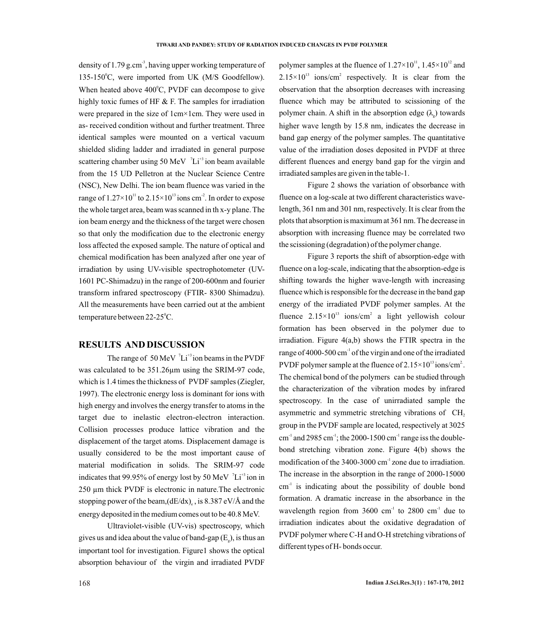density of 1.79 g.cm<sup>3</sup>, having upper working temperature of 135-150°C, were imported from UK (M/S Goodfellow). When heated above  $400^{\circ}$ C, PVDF can decompose to give highly toxic fumes of HF  $&$  F. The samples for irradiation were prepared in the size of 1cm×1cm. They were used in as- received condition without and further treatment. Three identical samples were mounted on a vertical vacuum shielded sliding ladder and irradiated in general purpose scattering chamber using 50 MeV  $\mathrm{L}^{3}$  ion beam available from the 15 UD Pelletron at the Nuclear Science Centre (NSC), New Delhi. The ion beam fluence was varied in the range of  $1.27 \times 10^{11}$  to  $2.15 \times 10^{13}$  ions cm<sup>2</sup>. In order to expose the whole target area, beam was scanned in th x-y plane. The ion beam energy and the thickness of the target were chosen so that only the modification due to the electronic energy loss affected the exposed sample. The nature of optical and chemical modification has been analyzed after one year of irradiation by using UV-visible spectrophotometer (UV-1601 PC-Shimadzu) in the range of 200-600nm and fourier transform infrared spectroscopy (FTIR- 8300 Shimadzu). All the measurements have been carried out at the ambient temperature between 22-25°C.

## **RESULTS AND DISCUSSION**

The range of 50 MeV  ${}^{7}Li^{+3}$  ion beams in the PVDF was calculated to be 351.26µm using the SRIM-97 code, which is 1.4 times the thickness of PVDF samples (Ziegler, 1997). The electronic energy loss is dominant for ions with high energy and involves the energy transfer to atoms in the target due to inelastic electron-electron interaction. Collision processes produce lattice vibration and the displacement of the target atoms. Displacement damage is usually considered to be the most important cause of material modification in solids. The SRIM-97 code indicates that 99.95% of energy lost by 50 MeV  $\mathrm{^{7}Li^{43}}$  ion in 250 µm thick PVDF is electronic in nature.The electronic stopping power of the beam,  $(dE/dx)$ , is 8.387 eV/Å and the energy deposited in the medium comes out to be 40.8 MeV.

Ultraviolet-visible (UV-vis) spectroscopy, which gives us and idea about the value of band-gap  $(E_{\circ})$ , is thus an important tool for investigation. Figure1 shows the optical absorption behaviour of the virgin and irradiated PVDF

polymer samples at the fluence of  $1.27 \times 10^{11}$ ,  $1.45 \times 10^{12}$  and  $2.15 \times 10^{13}$  ions/cm<sup>2</sup> respectively. It is clear from the observation that the absorption decreases with increasing fluence which may be attributed to scissioning of the polymer chain. A shift in the absorption edge  $(\lambda)$  towards higher wave length by 15.8 nm, indicates the decrease in band gap energy of the polymer samples. The quantitative value of the irradiation doses deposited in PVDF at three different fluences and energy band gap for the virgin and irradiated samples are given in the table-1.

Figure 2 shows the variation of obsorbance with fluence on a log-scale at two different characteristics wavelength, 361 nm and 301 nm, respectively. It is clear from the plots that absorption is maximum at 361 nm. The decrease in absorption with increasing fluence may be correlated two the scissioning (degradation) of the polymer change.

Figure 3 reports the shift of absorption-edge with fluence on a log-scale, indicating that the absorption-edge is shifting towards the higher wave-length with increasing fluence which is responsible for the decrease in the band gap energy of the irradiated PVDF polymer samples. At the fluence  $2.15 \times 10^{13}$  ions/cm<sup>2</sup> a light yellowish colour formation has been observed in the polymer due to irradiation. Figure 4(a,b) shows the FTIR spectra in the range of 4000-500 cm<sup>-1</sup> of the virgin and one of the irradiated PVDF polymer sample at the fluence of  $2.15\times10^{13}$  ions/cm<sup>2</sup>. The chemical bond of the polymers can be studied through the characterization of the vibration modes by infrared spectroscopy. In the case of unirradiated sample the asymmetric and symmetric stretching vibrations of  $CH<sub>2</sub>$ group in the PVDF sample are located, respectively at 3025  $cm<sup>-1</sup>$  and 2985  $cm<sup>-1</sup>$ ; the 2000-1500  $cm<sup>-1</sup>$  range iss the doublebond stretching vibration zone. Figure 4(b) shows the modification of the  $3400-3000$  cm<sup>-1</sup> zone due to irradiation. The increase in the absorption in the range of 2000-15000  $cm<sup>-1</sup>$  is indicating about the possibility of double bond formation. A dramatic increase in the absorbance in the wavelength region from  $3600 \text{ cm}^{-1}$  to  $2800 \text{ cm}^{-1}$  due to irradiation indicates about the oxidative degradation of PVDF polymer where C-H and O-H stretching vibrations of different types of H- bonds occur.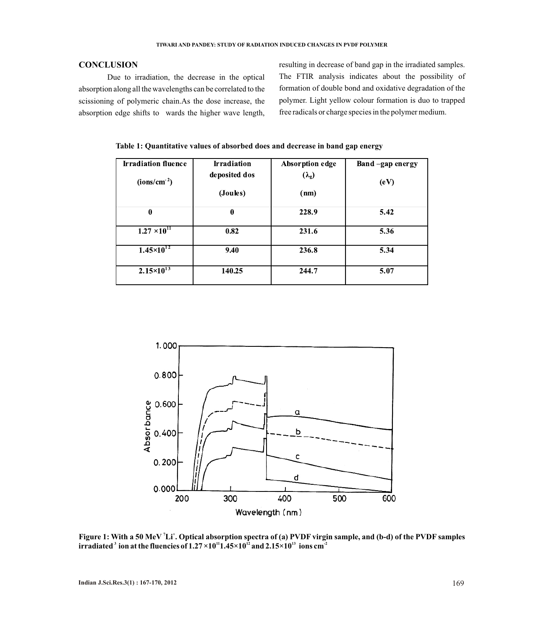## **CONCLUSION**

Due to irradiation, the decrease in the optical absorption along all the wavelengths can be correlated to the scissioning of polymeric chain.As the dose increase, the absorption edge shifts to wards the higher wave length,

resulting in decrease of band gap in the irradiated samples. The FTIR analysis indicates about the possibility of formation of double bond and oxidative degradation of the polymer. Light yellow colour formation is duo to trapped free radicals or charge species in the polymer medium.

 **Table 1: Quantitative values of absorbed does and decrease in band gap energy** 

| <b>Irradiation fluence</b> | <b>Irradiation</b> | Absorption edge | Band-gap energy |
|----------------------------|--------------------|-----------------|-----------------|
| (ions/cm <sup>2</sup> )    | deposited dos      | $(\lambda_g)$   | (eV)            |
|                            | (Joules)           | (nm)            |                 |
| $\boldsymbol{0}$           | $\bf{0}$           | 228.9           | 5.42            |
| $1.27 \times 10^{11}$      | 0.82               | 231.6           | 5.36            |
| $1.45 \times 10^{12}$      | 9.40               | 236.8           | 5.34            |
| $2.15 \times 10^{13}$      | 140.25             | 244.7           | 5.07            |



**7 + Figure 1: With a 50 MeV Li . Optical absorption spectra of (a) PVDF virgin sample, and (b-d) of the PVDF samples irradiated** ion at the fluencies of  $1.27 \times 10^{11}$   $1.45 \times 10^{12}$  and  $2.15 \times 10^{13}$  ions cm<sup>2</sup>